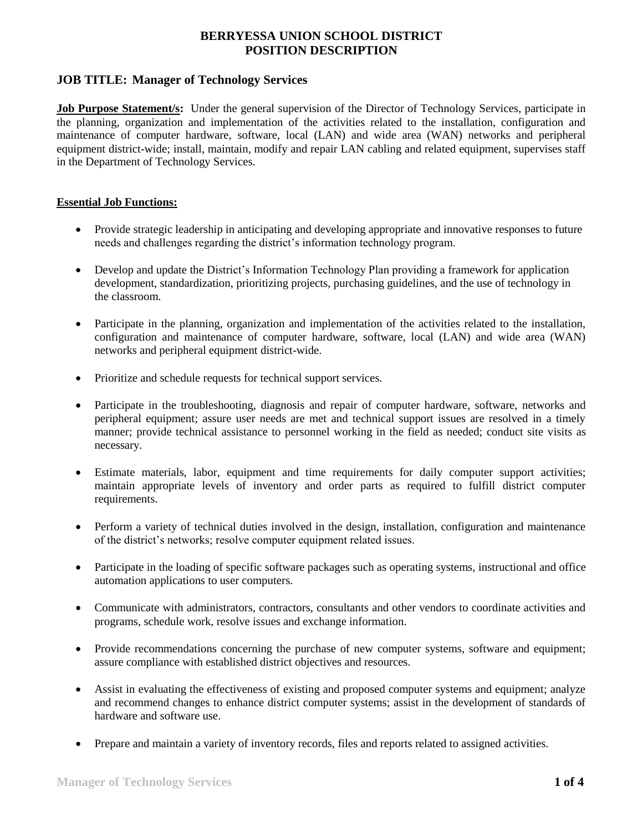## **JOB TITLE: Manager of Technology Services**

**Job Purpose Statement/s:** Under the general supervision of the Director of Technology Services, participate in the planning, organization and implementation of the activities related to the installation, configuration and maintenance of computer hardware, software, local (LAN) and wide area (WAN) networks and peripheral equipment district-wide; install, maintain, modify and repair LAN cabling and related equipment, supervises staff in the Department of Technology Services.

#### **Essential Job Functions:**

- Provide strategic leadership in anticipating and developing appropriate and innovative responses to future needs and challenges regarding the district's information technology program.
- Develop and update the District's Information Technology Plan providing a framework for application development, standardization, prioritizing projects, purchasing guidelines, and the use of technology in the classroom.
- Participate in the planning, organization and implementation of the activities related to the installation, configuration and maintenance of computer hardware, software, local (LAN) and wide area (WAN) networks and peripheral equipment district-wide.
- Prioritize and schedule requests for technical support services.
- Participate in the troubleshooting, diagnosis and repair of computer hardware, software, networks and peripheral equipment; assure user needs are met and technical support issues are resolved in a timely manner; provide technical assistance to personnel working in the field as needed; conduct site visits as necessary.
- Estimate materials, labor, equipment and time requirements for daily computer support activities; maintain appropriate levels of inventory and order parts as required to fulfill district computer requirements.
- Perform a variety of technical duties involved in the design, installation, configuration and maintenance of the district's networks; resolve computer equipment related issues.
- Participate in the loading of specific software packages such as operating systems, instructional and office automation applications to user computers.
- Communicate with administrators, contractors, consultants and other vendors to coordinate activities and programs, schedule work, resolve issues and exchange information.
- Provide recommendations concerning the purchase of new computer systems, software and equipment; assure compliance with established district objectives and resources.
- Assist in evaluating the effectiveness of existing and proposed computer systems and equipment; analyze and recommend changes to enhance district computer systems; assist in the development of standards of hardware and software use.
- Prepare and maintain a variety of inventory records, files and reports related to assigned activities.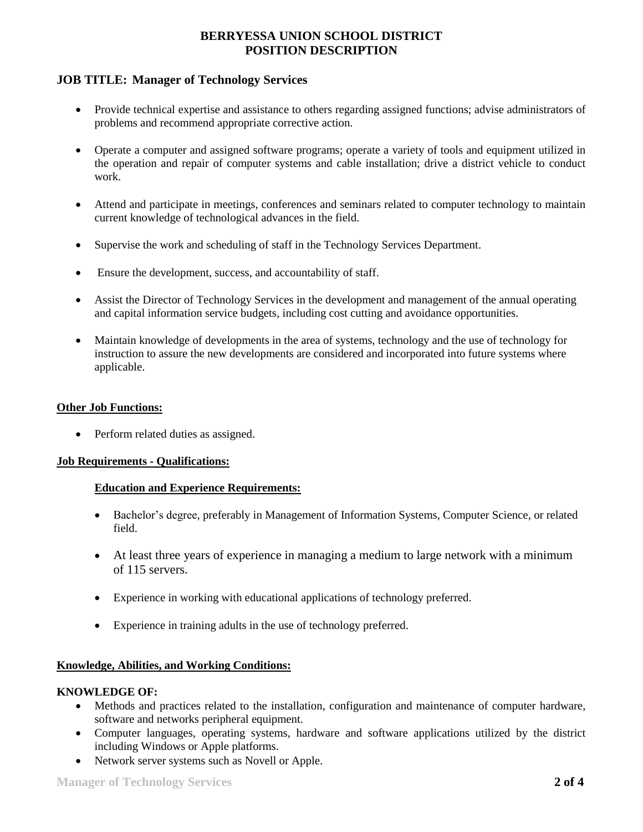## **JOB TITLE: Manager of Technology Services**

- Provide technical expertise and assistance to others regarding assigned functions; advise administrators of problems and recommend appropriate corrective action.
- Operate a computer and assigned software programs; operate a variety of tools and equipment utilized in the operation and repair of computer systems and cable installation; drive a district vehicle to conduct work.
- Attend and participate in meetings, conferences and seminars related to computer technology to maintain current knowledge of technological advances in the field.
- Supervise the work and scheduling of staff in the Technology Services Department.
- Ensure the development, success, and accountability of staff.
- Assist the Director of Technology Services in the development and management of the annual operating and capital information service budgets, including cost cutting and avoidance opportunities.
- Maintain knowledge of developments in the area of systems, technology and the use of technology for instruction to assure the new developments are considered and incorporated into future systems where applicable.

#### **Other Job Functions:**

• Perform related duties as assigned.

#### **Job Requirements - Qualifications:**

#### **Education and Experience Requirements:**

- Bachelor's degree, preferably in Management of Information Systems, Computer Science, or related field.
- At least three years of experience in managing a medium to large network with a minimum of 115 servers.
- Experience in working with educational applications of technology preferred.
- Experience in training adults in the use of technology preferred.

#### **Knowledge, Abilities, and Working Conditions:**

#### **KNOWLEDGE OF:**

- Methods and practices related to the installation, configuration and maintenance of computer hardware, software and networks peripheral equipment.
- Computer languages, operating systems, hardware and software applications utilized by the district including Windows or Apple platforms.
- Network server systems such as Novell or Apple.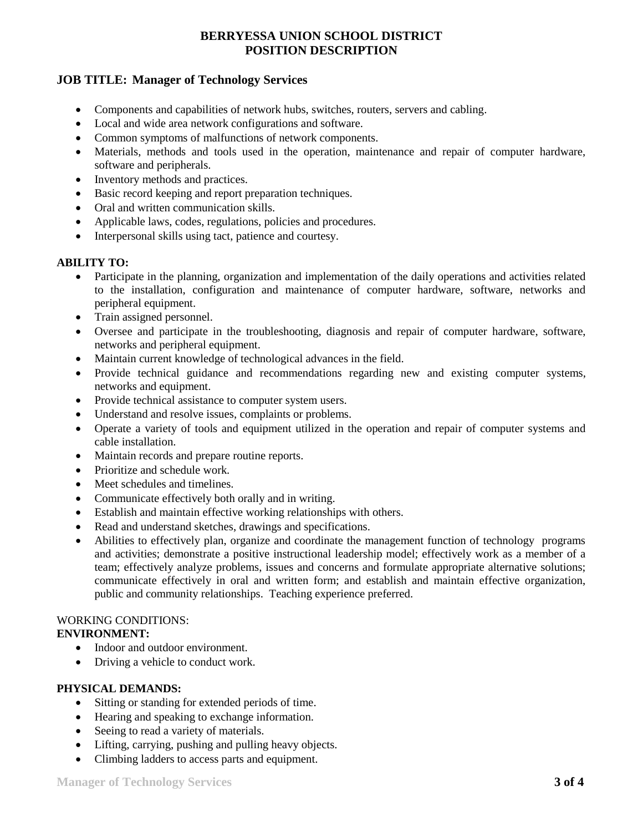## **JOB TITLE: Manager of Technology Services**

- Components and capabilities of network hubs, switches, routers, servers and cabling.
- Local and wide area network configurations and software.
- Common symptoms of malfunctions of network components.
- Materials, methods and tools used in the operation, maintenance and repair of computer hardware, software and peripherals.
- Inventory methods and practices.
- Basic record keeping and report preparation techniques.
- Oral and written communication skills.
- Applicable laws, codes, regulations, policies and procedures.
- Interpersonal skills using tact, patience and courtesy.

### **ABILITY TO:**

- Participate in the planning, organization and implementation of the daily operations and activities related to the installation, configuration and maintenance of computer hardware, software, networks and peripheral equipment.
- Train assigned personnel.
- Oversee and participate in the troubleshooting, diagnosis and repair of computer hardware, software, networks and peripheral equipment.
- Maintain current knowledge of technological advances in the field.
- Provide technical guidance and recommendations regarding new and existing computer systems, networks and equipment.
- Provide technical assistance to computer system users.
- Understand and resolve issues, complaints or problems.
- Operate a variety of tools and equipment utilized in the operation and repair of computer systems and cable installation.
- Maintain records and prepare routine reports.
- Prioritize and schedule work.
- Meet schedules and timelines.
- Communicate effectively both orally and in writing.
- Establish and maintain effective working relationships with others.
- Read and understand sketches, drawings and specifications.
- Abilities to effectively plan, organize and coordinate the management function of technology programs and activities; demonstrate a positive instructional leadership model; effectively work as a member of a team; effectively analyze problems, issues and concerns and formulate appropriate alternative solutions; communicate effectively in oral and written form; and establish and maintain effective organization, public and community relationships. Teaching experience preferred.

# WORKING CONDITIONS:

### **ENVIRONMENT:**

- Indoor and outdoor environment.
- Driving a vehicle to conduct work.

### **PHYSICAL DEMANDS:**

- Sitting or standing for extended periods of time.
- Hearing and speaking to exchange information.
- Seeing to read a variety of materials.
- Lifting, carrying, pushing and pulling heavy objects.
- Climbing ladders to access parts and equipment.